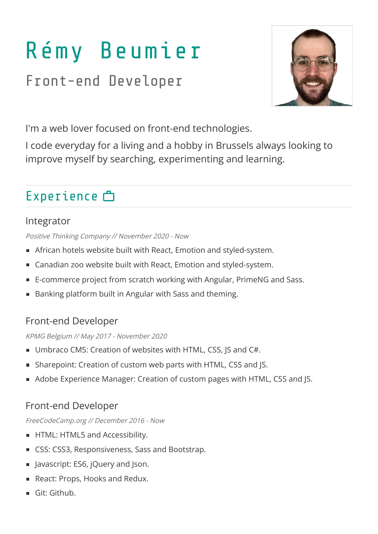# Rémy Beumier

Front-end Developer



I'm a web lover focused on front-end technologies.

I code everyday for a living and a hobby in Brussels always looking to improve myself by searching, experimenting and learning.

# Experience <sup>一</sup>

#### Integrator

Positive Thinking Company // November 2020 - Now

- African hotels website built with React, Emotion and styled-system.
- Canadian zoo website built with React, Emotion and styled-system.
- E-commerce project from scratch working with Angular, PrimeNG and Sass.
- Banking platform built in Angular with Sass and theming.

#### Front-end Developer

KPMG Belgium // May 2017 - November 2020

- Umbraco CMS: Creation of websites with HTML, CSS, JS and C#.
- Sharepoint: Creation of custom web parts with HTML, CSS and JS.
- Adobe Experience Manager: Creation of custom pages with HTML, CSS and JS.

#### Front-end Developer

FreeCodeCamp.org // December 2016 - Now

- HTML: HTML5 and Accessibility.
- CSS: CSS3, Responsiveness, Sass and Bootstrap.
- **Javascript: ES6, jQuery and Json.**
- React: Props, Hooks and Redux.
- Git: Github.